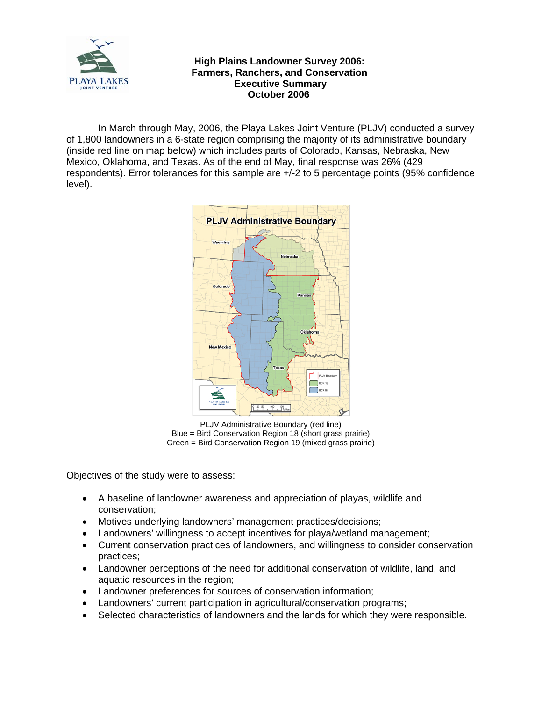

## **High Plains Landowner Survey 2006: Farmers, Ranchers, and Conservation Executive Summary October 2006**

In March through May, 2006, the Playa Lakes Joint Venture (PLJV) conducted a survey of 1,800 landowners in a 6-state region comprising the majority of its administrative boundary (inside red line on map below) which includes parts of Colorado, Kansas, Nebraska, New Mexico, Oklahoma, and Texas. As of the end of May, final response was 26% (429 respondents). Error tolerances for this sample are +/-2 to 5 percentage points (95% confidence level).



PLJV Administrative Boundary (red line) Blue = Bird Conservation Region 18 (short grass prairie) Green = Bird Conservation Region 19 (mixed grass prairie)

Objectives of the study were to assess:

- A baseline of landowner awareness and appreciation of playas, wildlife and conservation;
- Motives underlying landowners' management practices/decisions;
- Landowners' willingness to accept incentives for playa/wetland management;
- Current conservation practices of landowners, and willingness to consider conservation practices;
- Landowner perceptions of the need for additional conservation of wildlife, land, and aquatic resources in the region;
- Landowner preferences for sources of conservation information;
- Landowners' current participation in agricultural/conservation programs;
- Selected characteristics of landowners and the lands for which they were responsible.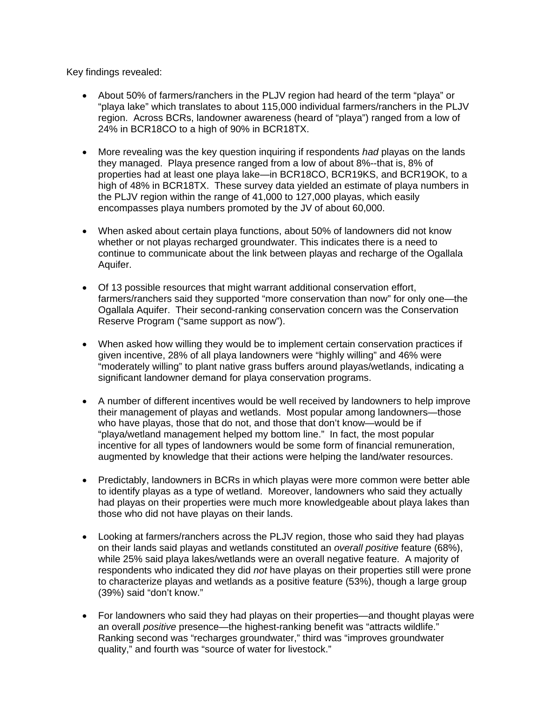Key findings revealed:

- About 50% of farmers/ranchers in the PLJV region had heard of the term "playa" or "playa lake" which translates to about 115,000 individual farmers/ranchers in the PLJV region. Across BCRs, landowner awareness (heard of "playa") ranged from a low of 24% in BCR18CO to a high of 90% in BCR18TX.
- More revealing was the key question inquiring if respondents *had* playas on the lands they managed. Playa presence ranged from a low of about 8%--that is, 8% of properties had at least one playa lake—in BCR18CO, BCR19KS, and BCR19OK, to a high of 48% in BCR18TX. These survey data yielded an estimate of playa numbers in the PLJV region within the range of 41,000 to 127,000 playas, which easily encompasses playa numbers promoted by the JV of about 60,000.
- When asked about certain playa functions, about 50% of landowners did not know whether or not playas recharged groundwater. This indicates there is a need to continue to communicate about the link between playas and recharge of the Ogallala Aquifer.
- Of 13 possible resources that might warrant additional conservation effort, farmers/ranchers said they supported "more conservation than now" for only one—the Ogallala Aquifer. Their second-ranking conservation concern was the Conservation Reserve Program ("same support as now").
- When asked how willing they would be to implement certain conservation practices if given incentive, 28% of all playa landowners were "highly willing" and 46% were "moderately willing" to plant native grass buffers around playas/wetlands, indicating a significant landowner demand for playa conservation programs.
- A number of different incentives would be well received by landowners to help improve their management of playas and wetlands. Most popular among landowners—those who have playas, those that do not, and those that don't know—would be if "playa/wetland management helped my bottom line." In fact, the most popular incentive for all types of landowners would be some form of financial remuneration, augmented by knowledge that their actions were helping the land/water resources.
- Predictably, landowners in BCRs in which playas were more common were better able to identify playas as a type of wetland. Moreover, landowners who said they actually had playas on their properties were much more knowledgeable about playa lakes than those who did not have playas on their lands.
- Looking at farmers/ranchers across the PLJV region, those who said they had playas on their lands said playas and wetlands constituted an *overall positive* feature (68%), while 25% said playa lakes/wetlands were an overall negative feature. A majority of respondents who indicated they did *not* have playas on their properties still were prone to characterize playas and wetlands as a positive feature (53%), though a large group (39%) said "don't know."
- For landowners who said they had playas on their properties—and thought playas were an overall *positive* presence—the highest-ranking benefit was "attracts wildlife." Ranking second was "recharges groundwater," third was "improves groundwater quality," and fourth was "source of water for livestock."